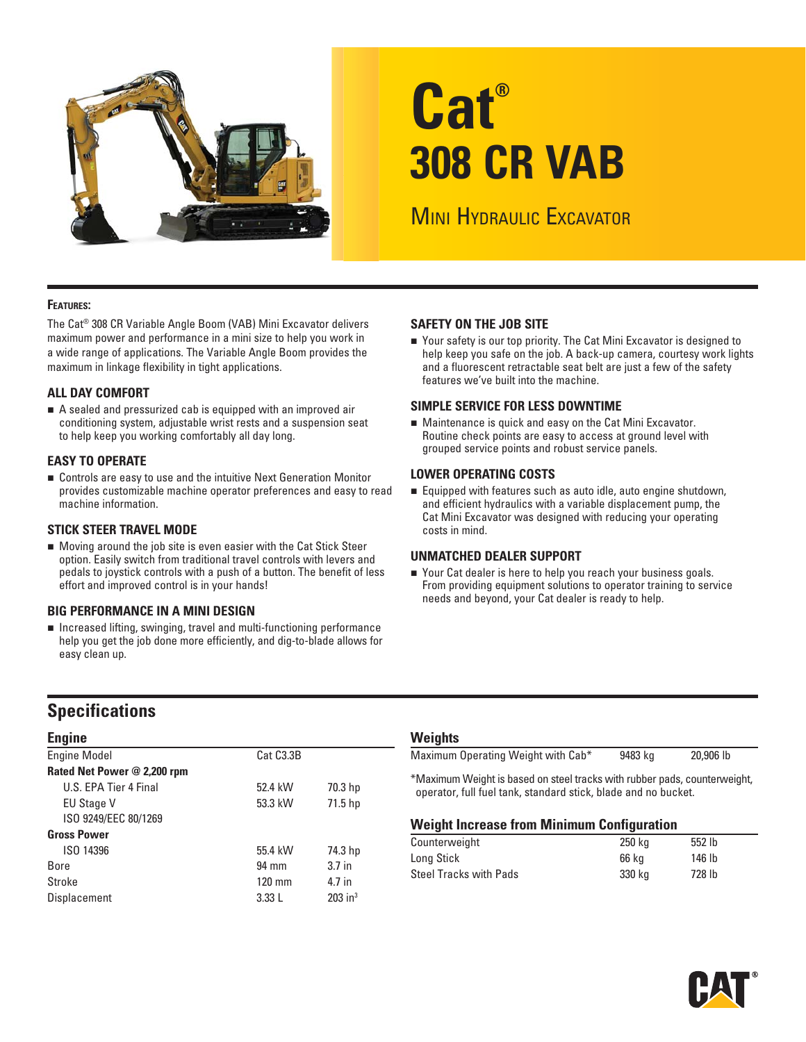

# **Cat® 308 CR VAB**

**MINI HYDRAULIC EXCAVATOR** 

### **FEATURES:**

The Cat® 308 CR Variable Angle Boom (VAB) Mini Excavator delivers maximum power and performance in a mini size to help you work in a wide range of applications. The Variable Angle Boom provides the maximum in linkage flexibility in tight applications.

### **ALL DAY COMFORT**

A sealed and pressurized cab is equipped with an improved air conditioning system, adjustable wrist rests and a suspension seat to help keep you working comfortably all day long.

### **EASY TO OPERATE**

 Controls are easy to use and the intuitive Next Generation Monitor provides customizable machine operator preferences and easy to read machine information.

### **STICK STEER TRAVEL MODE**

 Moving around the job site is even easier with the Cat Stick Steer option. Easily switch from traditional travel controls with levers and pedals to joystick controls with a push of a button. The benefit of less effort and improved control is in your hands!

### **BIG PERFORMANCE IN A MINI DESIGN**

■ Increased lifting, swinging, travel and multi-functioning performance help you get the job done more efficiently, and dig-to-blade allows for easy clean up.

### **SAFETY ON THE JOB SITE**

■ Your safety is our top priority. The Cat Mini Excavator is designed to help keep you safe on the job. A back-up camera, courtesy work lights and a fluorescent retractable seat belt are just a few of the safety features we've built into the machine.

### **SIMPLE SERVICE FOR LESS DOWNTIME**

 Maintenance is quick and easy on the Cat Mini Excavator. Routine check points are easy to access at ground level with grouped service points and robust service panels.

### **LOWER OPERATING COSTS**

 Equipped with features such as auto idle, auto engine shutdown, and efficient hydraulics with a variable displacement pump, the Cat Mini Excavator was designed with reducing your operating costs in mind.

### **UNMATCHED DEALER SUPPORT**

■ Your Cat dealer is here to help you reach your business goals. From providing equipment solutions to operator training to service needs and beyond, your Cat dealer is ready to help.

### **Specifications**

| <b>Engine</b>               |                        |                       |
|-----------------------------|------------------------|-----------------------|
| <b>Engine Model</b>         | Cat C <sub>3.3</sub> B |                       |
| Rated Net Power @ 2,200 rpm |                        |                       |
| U.S. EPA Tier 4 Final       | 52.4 kW                | 70.3 hp               |
| <b>EU Stage V</b>           | 53.3 kW                | 71.5 hp               |
| ISO 9249/EEC 80/1269        |                        |                       |
| <b>Gross Power</b>          |                        |                       |
| ISO 14396                   | 55.4 kW                | 74.3 hp               |
| Bore                        | 94 mm                  | 3.7 <sub>in</sub>     |
| Stroke                      | $120 \text{ mm}$       | 4.7 in                |
| Displacement                | 3.33L                  | $203$ in <sup>3</sup> |

### **Weights**

| Maximum Operating Weight with Cab*                                          | 9483 kg | 20,906 lb |
|-----------------------------------------------------------------------------|---------|-----------|
|                                                                             |         |           |
|                                                                             |         |           |
| $*M$ sympathy with the based on step tracks with rubber pade, counterwaight |         |           |

\*Maximum Weight is based on steel tracks with rubber pads, counterweight, operator, full fuel tank, standard stick, blade and no bucket.

### **Weight Increase from Minimum Configuration**

| Counterweight                 | 250 kg | 552 lb |
|-------------------------------|--------|--------|
| Long Stick                    | 66 ka  | 146 lb |
| <b>Steel Tracks with Pads</b> | 330 ka | 728 lb |

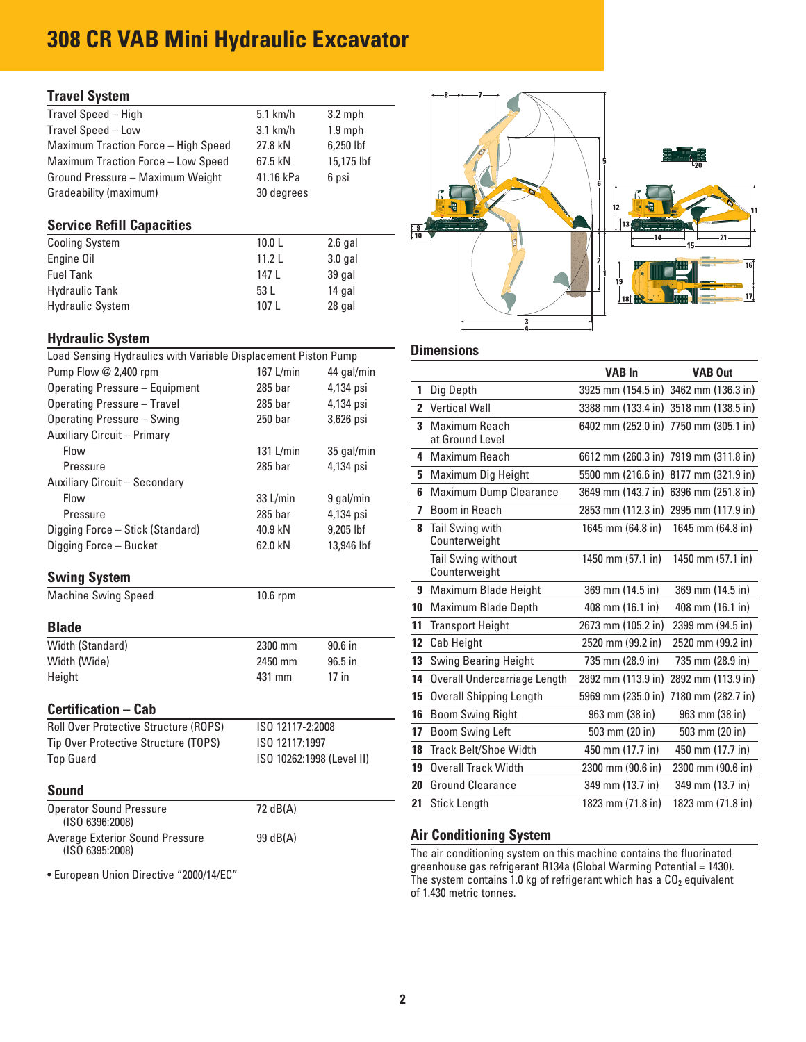## **308 CR VAB Mini Hydraulic Excavator**

### **Travel System**

| $5.1$ km/h | $3.2$ mph  |
|------------|------------|
| $3.1$ km/h | $1.9$ mph  |
| 27.8 kN    | 6,250 lbf  |
| 67.5 kN    | 15,175 lbf |
| 41.16 kPa  | 6 psi      |
| 30 degrees |            |
|            |            |

### **Service Refill Capacities**

| <b>Cooling System</b>   | 10.0 <sub>L</sub> | $2.6$ gal |
|-------------------------|-------------------|-----------|
| Engine Oil              | 11.21             | $3.0$ gal |
| <b>Fuel Tank</b>        | 147 L             | 39 gal    |
| <b>Hydraulic Tank</b>   | 53 L              | 14 gal    |
| <b>Hydraulic System</b> | 107 L             | 28 gal    |

| <b>Hydraulic System</b>                                        |                        |                 |                                    |                                                                  |                |
|----------------------------------------------------------------|------------------------|-----------------|------------------------------------|------------------------------------------------------------------|----------------|
| Load Sensing Hydraulics with Variable Displacement Piston Pump |                        |                 | <b>Dimensions</b>                  |                                                                  |                |
| Pump Flow @ 2,400 rpm                                          | 167 $L/min$            | 44 gal/min      |                                    | <b>VAB In</b>                                                    | <b>VAB Out</b> |
| Operating Pressure - Equipment                                 | $285$ bar              | 4,134 psi       | Dig Depth                          | 3925 mm (154.5 in) 3462 mm (136.                                 |                |
| Operating Pressure - Travel                                    | $285$ bar<br>4,134 psi | 2 Vertical Wall | 3388 mm (133.4 in) 3518 mm (138.   |                                                                  |                |
| Operating Pressure - Swing                                     | 250 <sub>bar</sub>     | $3,626$ psi     | Maximum Reach<br>3.                | 6402 mm (252.0 in) 7750 mm (305.                                 |                |
| <b>Auxiliary Circuit - Primary</b>                             |                        |                 | at Ground Level                    |                                                                  |                |
| Flow                                                           | $131$ L/min            | 35 gal/min      | 4 Maximum Reach                    | 6612 mm (260.3 in) 7919 mm (311.                                 |                |
| Pressure                                                       | $285$ bar              | 4,134 psi       | 5 Maximum Dig Height               | 5500 mm (216.6 in) 8177 mm (321.                                 |                |
| Auxiliary Circuit - Secondary                                  |                        |                 |                                    |                                                                  |                |
| Flow                                                           | $33$ L/min             | 9 gal/min       | <b>Maximum Dump Clearance</b><br>6 | 3649 mm (143.7 in) 6396 mm (251.                                 |                |
| Pressure                                                       | $285$ bar              | 4,134 psi       | Boom in Reach                      | 2853 mm (112.3 in) 2995 mm (117.                                 |                |
| Digging Force - Stick (Standard)                               | 40.9 kN                | 9,205 lbf       | Tail Swing with<br>8               | 1645 mm (64.8 in)                                                | 1645 mm (64.8  |
| Digging Force - Bucket                                         | 62.0 kN                | 13,946 lbf      | Counterweight                      |                                                                  |                |
|                                                                |                        |                 | Toil Curing without                | $1450 \text{ mm}$ $(57.1 \text{ in})$ $1450 \text{ mm}$ $(57.1)$ |                |

### **Swing System**

### **Blade**

| <b>Width (Standard)</b> | 2300 mm | $90.6$ in |
|-------------------------|---------|-----------|
| Width (Wide)            | 2450 mm | $96.5$ in |
| Height                  | 431 mm  | $17$ in   |

| <b>Roll Over Protective Structure (ROPS)</b> | ISO 12117-2:2008          |
|----------------------------------------------|---------------------------|
| Tip Over Protective Structure (TOPS)         | ISO 12117:1997            |
| <b>Top Guard</b>                             | ISO 10262:1998 (Level II) |

| <b>Operator Sound Pressure</b><br>(ISO 6396:2008) | 72 dB(A) | 21 Stick Length                | 1823 mm (71.8 in) 1823 mm (71.8 in)                                  |  |
|---------------------------------------------------|----------|--------------------------------|----------------------------------------------------------------------|--|
| Average Exterior Sound Pressure                   | 99 dB(A) | <b>Air Conditioning System</b> |                                                                      |  |
| (ISO 6395:2008)                                   |          |                                | The air conditioning system on this machine contains the fluorinated |  |



| Pump Flow @ 2,400 rpm                                            | 167 L/min          | 44 gal/min                |    |                                            | <b>VAB In</b>      | <b>VAB Out</b>                        |
|------------------------------------------------------------------|--------------------|---------------------------|----|--------------------------------------------|--------------------|---------------------------------------|
| Operating Pressure - Equipment                                   | 285 bar            | 4,134 psi                 |    | 1 Dig Depth                                |                    | 3925 mm (154.5 in) 3462 mm (136.3 in) |
| Operating Pressure - Travel                                      | 285 bar            | 4,134 psi                 |    | 2 Vertical Wall                            |                    | 3388 mm (133.4 in) 3518 mm (138.5 in) |
| Operating Pressure - Swing<br><b>Auxiliary Circuit - Primary</b> | 250 <sub>bar</sub> | 3,626 psi                 |    | 3 Maximum Reach<br>at Ground Level         |                    | 6402 mm (252.0 in) 7750 mm (305.1 in) |
| Flow                                                             | $131$ L/min        | 35 gal/min                |    | 4 Maximum Reach                            |                    | 6612 mm (260.3 in) 7919 mm (311.8 in) |
| Pressure                                                         | $285$ bar          | 4,134 psi                 |    | 5 Maximum Dig Height                       |                    | 5500 mm (216.6 in) 8177 mm (321.9 in) |
| Auxiliary Circuit – Secondary<br>Flow                            | $33$ L/min         | 9 gal/min                 |    | 6 Maximum Dump Clearance                   |                    | 3649 mm (143.7 in) 6396 mm (251.8 in) |
| Pressure                                                         | 285 bar            | 4,134 psi                 |    | 7 Boom in Reach                            |                    | 2853 mm (112.3 in) 2995 mm (117.9 in) |
| Digging Force - Stick (Standard)<br>Digging Force – Bucket       | 40.9 kN<br>62.0 kN | 9,205 lbf<br>13,946 lbf   |    | 8 Tail Swing with<br>Counterweight         | 1645 mm (64.8 in)  | 1645 mm (64.8 in)                     |
| <b>Swing System</b>                                              |                    |                           |    | <b>Tail Swing without</b><br>Counterweight | 1450 mm (57.1 in)  | 1450 mm (57.1 in)                     |
| <b>Machine Swing Speed</b>                                       | $10.6$ rpm         |                           |    | 9 Maximum Blade Height                     | 369 mm (14.5 in)   | 369 mm (14.5 in)                      |
|                                                                  |                    |                           |    | 10 Maximum Blade Depth                     | 408 mm (16.1 in)   | 408 mm (16.1 in)                      |
| <b>Blade</b>                                                     |                    |                           |    | 11 Transport Height                        | 2673 mm (105.2 in) | 2399 mm (94.5 in)                     |
| Width (Standard)                                                 | 2300 mm            | 90.6 in                   |    | 12 Cab Height                              | 2520 mm (99.2 in)  | 2520 mm (99.2 in)                     |
| Width (Wide)                                                     | 2450 mm            | 96.5 in                   |    | 13 Swing Bearing Height                    | 735 mm (28.9 in)   | 735 mm (28.9 in)                      |
| Height                                                           | 431 mm             | $17$ in                   |    | 14 Overall Undercarriage Length            | 2892 mm (113.9 in) | 2892 mm (113.9 in)                    |
|                                                                  |                    |                           |    | 15 Overall Shipping Length                 |                    | 5969 mm (235.0 in) 7180 mm (282.7 in) |
| <b>Certification – Cab</b>                                       |                    |                           |    | 16 Boom Swing Right                        | 963 mm (38 in)     | 963 mm (38 in)                        |
| Roll Over Protective Structure (ROPS)                            | ISO 12117-2:2008   |                           |    | 17 Boom Swing Left                         | 503 mm (20 in)     | 503 mm (20 in)                        |
| Tip Over Protective Structure (TOPS)                             | ISO 12117:1997     |                           |    | 18 Track Belt/Shoe Width                   | 450 mm (17.7 in)   | 450 mm (17.7 in)                      |
| <b>Top Guard</b>                                                 |                    | ISO 10262:1998 (Level II) |    | 19 Overall Track Width                     | 2300 mm (90.6 in)  | 2300 mm (90.6 in)                     |
| <b>Sound</b>                                                     |                    |                           | 20 | <b>Ground Clearance</b>                    | 349 mm (13.7 in)   | 349 mm (13.7 in)                      |
| <b>Onerator Sound Pressure</b>                                   | 72 dR( $\Delta$ )  |                           |    | 21 Stick Length                            | 1823 mm (71.8 in)  | 1823 mm (71.8 in)                     |

### **Air Conditioning System**

(ISO 6395:2008)<br>The air conditioning system on this machine contains the fluorinated<br>greenhouse gas refrigerant R134a (Global Warming Potential = 1430). Furopean Union Directive "2000/14/EC" enhouse gas refrigerant R134a (Global Warming Potential = 1430). of 1.430 metric tonnes.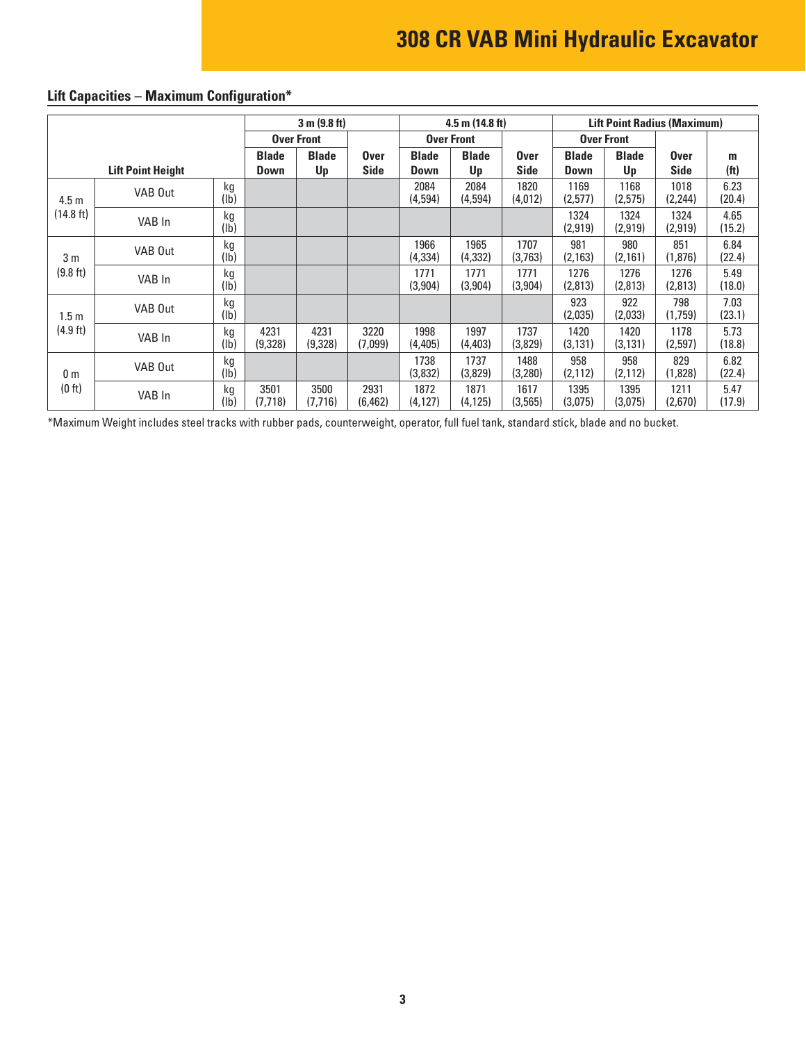# **308 CR VAB Mini Hydraulic Excavator**

|                  |                          |                       | 3 m (9.8 ft)         |                    | $4.5$ m (14.8 ft)          |                             |                    | <b>Lift Point Radius (Maximum)</b> |                      |                    |                            |                        |
|------------------|--------------------------|-----------------------|----------------------|--------------------|----------------------------|-----------------------------|--------------------|------------------------------------|----------------------|--------------------|----------------------------|------------------------|
|                  |                          |                       |                      | <b>Over Front</b>  |                            |                             | <b>Over Front</b>  |                                    |                      | <b>Over Front</b>  |                            |                        |
|                  | <b>Lift Point Height</b> |                       | <b>Blade</b><br>Down | <b>Blade</b><br>Up | <b>Over</b><br><b>Side</b> | <b>Blade</b><br><b>Down</b> | <b>Blade</b><br>Up | <b>Over</b><br><b>Side</b>         | <b>Blade</b><br>Down | <b>Blade</b><br>Up | <b>Over</b><br><b>Side</b> | m<br>(f <sup>t</sup> ) |
| 4.5 <sub>m</sub> | VAB Out                  | kg<br>(1b)            |                      |                    |                            | 2084<br>(4,594)             | 2084<br>(4,594)    | 1820<br>(4,012)                    | 1169<br>(2,577)      | 1168<br>(2,575)    | 1018<br>(2, 244)           | 6.23<br>(20.4)         |
| (14.8 ft)        | VAB In                   | kg<br>(Ib)            |                      |                    |                            |                             |                    |                                    | 1324<br>(2,919)      | 1324<br>(2,919)    | 1324<br>(2,919)            | 4.65<br>(15.2)         |
| 3 <sub>m</sub>   | VAB Out                  | kg<br>(1b)            |                      |                    |                            | 1966<br>(4, 334)            | 1965<br>(4,332)    | 1707<br>(3,763)                    | 981<br>(2, 163)      | 980<br>(2,161)     | 851<br>(1,876)             | 6.84<br>(22.4)         |
| (9.8 ft)         | VAB In                   | kg<br>(1b)            |                      |                    |                            | 1771<br>(3,904)             | 1771<br>(3,904)    | 1771<br>(3,904)                    | 1276<br>(2,813)      | 1276<br>(2,813)    | 1276<br>(2,813)            | 5.49<br>(18.0)         |
| 1.5 <sub>m</sub> | VAB Out                  | kg<br>(1b)            |                      |                    |                            |                             |                    |                                    | 923<br>(2,035)       | 922<br>(2,033)     | 798<br>(1,759)             | 7.03<br>(23.1)         |
| (4.9 ft)         | VAB In                   | kg<br>(lb)            | 4231<br>(9,328)      | 4231<br>(9,328)    | 3220<br>(7,099)            | 1998<br>(4,405)             | 1997<br>(4, 403)   | 1737<br>(3,829)                    | 1420<br>(3, 131)     | 1420<br>(3, 131)   | 1178<br>(2,597)            | 5.73<br>(18.8)         |
| 0 <sub>m</sub>   | VAB Out                  | kg<br>$(\mathsf{lb})$ |                      |                    |                            | 1738<br>(3,832)             | 1737<br>(3,829)    | 1488<br>(3,280)                    | 958<br>(2, 112)      | 958<br>(2, 112)    | 829<br>(1,828)             | 6.82<br>(22.4)         |
| (0 ft)           | VAB In                   | kg<br>(Ib)            | 3501<br>(7, 718)     | 3500<br>(7,716)    | 2931<br>(6, 462)           | 1872<br>(4, 127)            | 1871<br>(4, 125)   | 1617<br>(3, 565)                   | 1395<br>(3,075)      | 1395<br>(3,075)    | 1211<br>(2,670)            | 5.47<br>(17.9)         |

### **Lift Capacities – Maximum Configuration\***

\*Maximum Weight includes steel tracks with rubber pads, counterweight, operator, full fuel tank, standard stick, blade and no bucket.